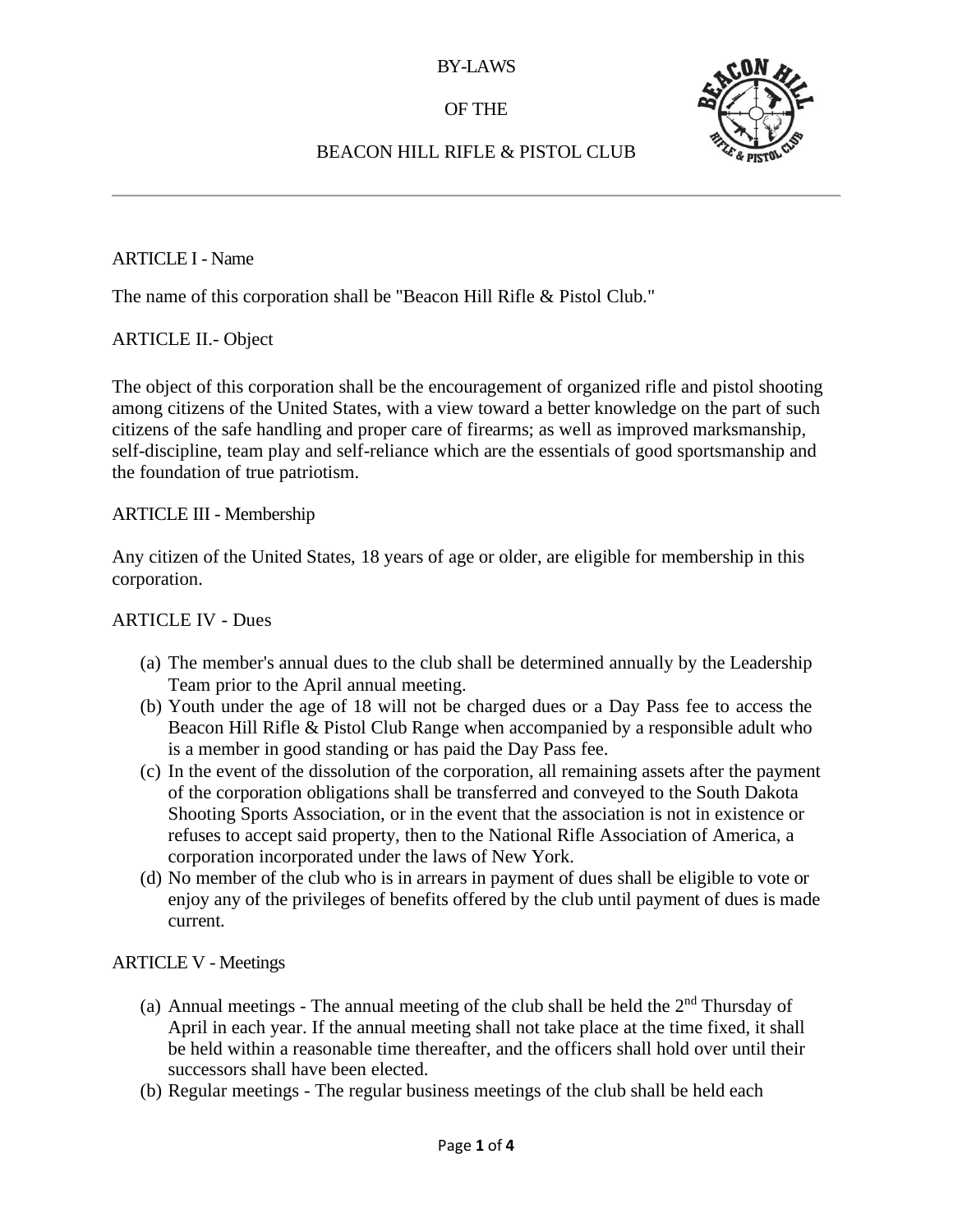# OF THE



# BEACON HILL RIFLE & PISTOL CLUB

#### ARTICLE I - Name

The name of this corporation shall be "Beacon Hill Rifle & Pistol Club."

# ARTICLE II.- Object

The object of this corporation shall be the encouragement of organized rifle and pistol shooting among citizens of the United States, with a view toward a better knowledge on the part of such citizens of the safe handling and proper care of firearms; as well as improved marksmanship, self-discipline, team play and self-reliance which are the essentials of good sportsmanship and the foundation of true patriotism.

#### ARTICLE III - Membership

Any citizen of the United States, 18 years of age or older, are eligible for membership in this corporation.

#### ARTICLE IV - Dues

- (a) The member's annual dues to the club shall be determined annually by the Leadership Team prior to the April annual meeting.
- (b) Youth under the age of 18 will not be charged dues or a Day Pass fee to access the Beacon Hill Rifle & Pistol Club Range when accompanied by a responsible adult who is a member in good standing or has paid the Day Pass fee.
- (c) In the event of the dissolution of the corporation, all remaining assets after the payment of the corporation obligations shall be transferred and conveyed to the South Dakota Shooting Sports Association, or in the event that the association is not in existence or refuses to accept said property, then to the National Rifle Association of America, a corporation incorporated under the laws of New York.
- (d) No member of the club who is in arrears in payment of dues shall be eligible to vote or enjoy any of the privileges of benefits offered by the club until payment of dues is made current.

# ARTICLE V - Meetings

- (a) Annual meetings The annual meeting of the club shall be held the  $2<sup>nd</sup>$  Thursday of April in each year. If the annual meeting shall not take place at the time fixed, it shall be held within a reasonable time thereafter, and the officers shall hold over until their successors shall have been elected.
- (b) Regular meetings The regular business meetings of the club shall be held each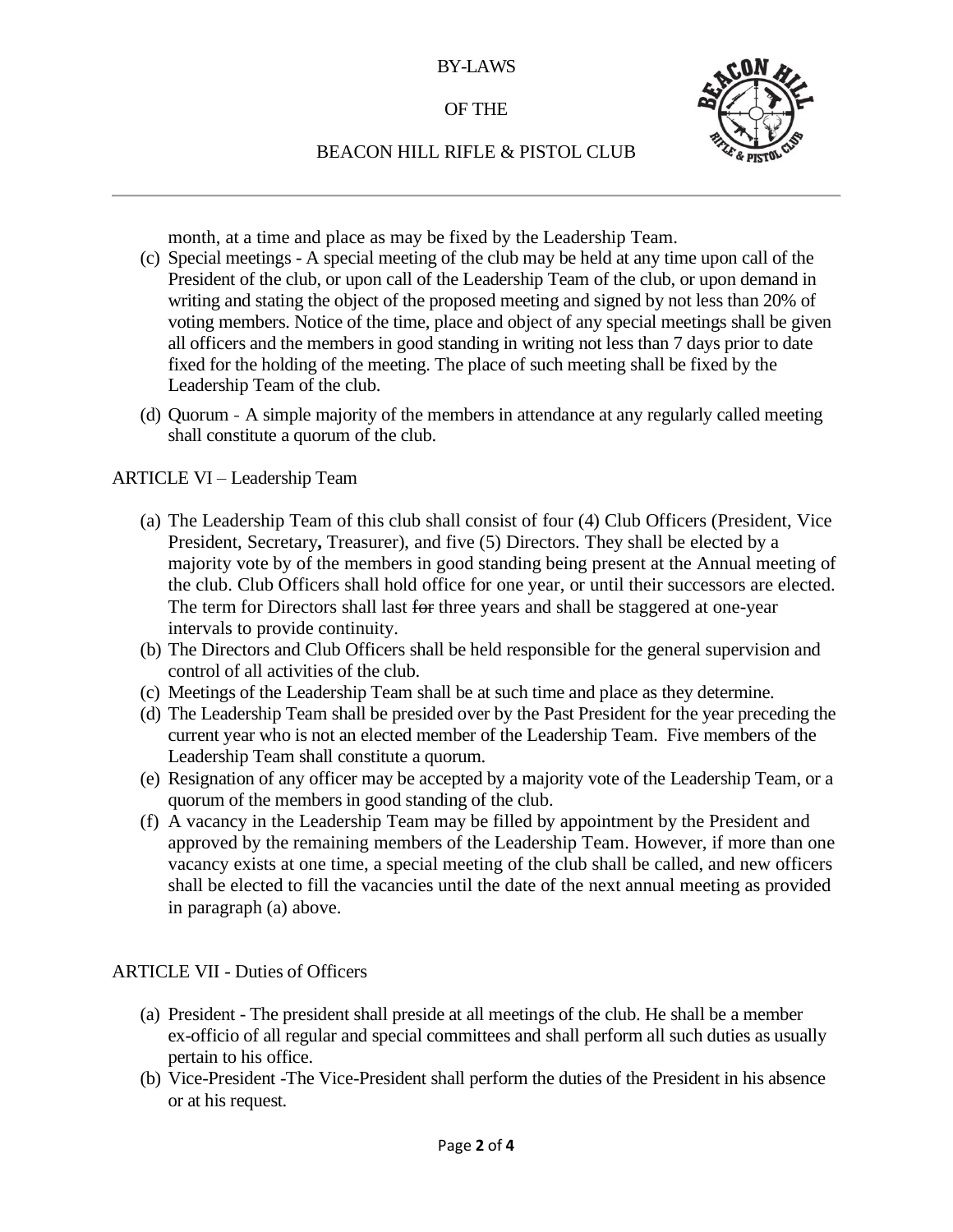# OF THE



# BEACON HILL RIFLE & PISTOL CLUB

month, at a time and place as may be fixed by the Leadership Team.

- (c) Special meetings A special meeting of the club may be held at any time upon call of the President of the club, or upon call of the Leadership Team of the club, or upon demand in writing and stating the object of the proposed meeting and signed by not less than 20% of voting members. Notice of the time, place and object of any special meetings shall be given all officers and the members in good standing in writing not less than 7 days prior to date fixed for the holding of the meeting. The place of such meeting shall be fixed by the Leadership Team of the club.
- (d) Quorum A simple majority of the members in attendance at any regularly called meeting shall constitute a quorum of the club.

#### ARTICLE VI – Leadership Team

- (a) The Leadership Team of this club shall consist of four (4) Club Officers (President, Vice President, Secretary**,** Treasurer), and five (5) Directors. They shall be elected by a majority vote by of the members in good standing being present at the Annual meeting of the club. Club Officers shall hold office for one year, or until their successors are elected. The term for Directors shall last for three years and shall be staggered at one-year intervals to provide continuity.
- (b) The Directors and Club Officers shall be held responsible for the general supervision and control of all activities of the club.
- (c) Meetings of the Leadership Team shall be at such time and place as they determine.
- (d) The Leadership Team shall be presided over by the Past President for the year preceding the current year who is not an elected member of the Leadership Team. Five members of the Leadership Team shall constitute a quorum.
- (e) Resignation of any officer may be accepted by a majority vote of the Leadership Team, or a quorum of the members in good standing of the club.
- (f) A vacancy in the Leadership Team may be filled by appointment by the President and approved by the remaining members of the Leadership Team. However, if more than one vacancy exists at one time, a special meeting of the club shall be called, and new officers shall be elected to fill the vacancies until the date of the next annual meeting as provided in paragraph (a) above.

ARTICLE VII - Duties of Officers

- (a) President The president shall preside at all meetings of the club. He shall be a member ex-officio of all regular and special committees and shall perform all such duties as usually pertain to his office.
- (b) Vice-President -The Vice-President shall perform the duties of the President in his absence or at his request.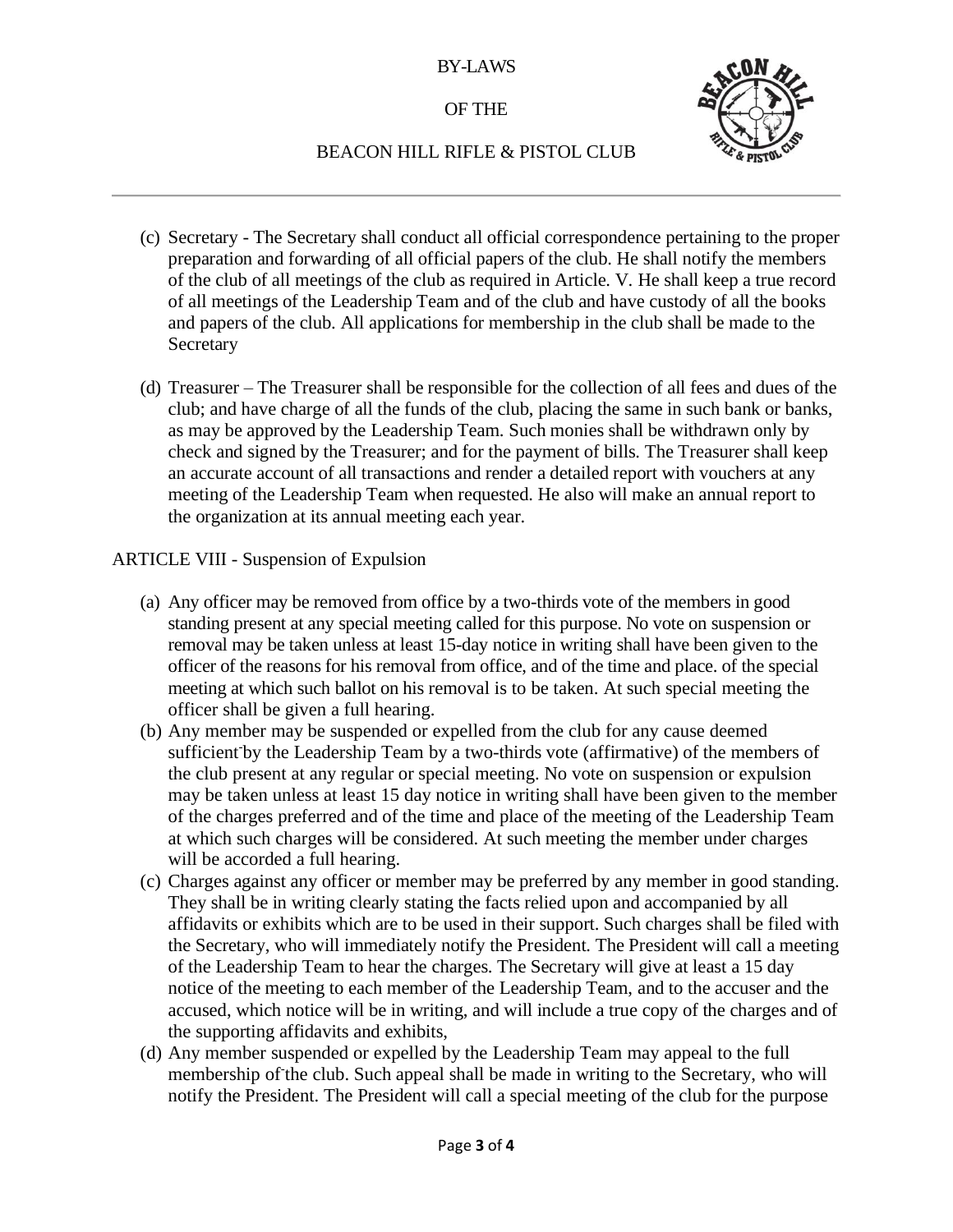#### OF THE



# BEACON HILL RIFLE & PISTOL CLUB

- (c) Secretary The Secretary shall conduct all official correspondence pertaining to the proper preparation and forwarding of all official papers of the club. He shall notify the members of the club of all meetings of the club as required in Article. V. He shall keep a true record of all meetings of the Leadership Team and of the club and have custody of all the books and papers of the club. All applications for membership in the club shall be made to the **Secretary**
- (d) Treasurer The Treasurer shall be responsible for the collection of all fees and dues of the club; and have charge of all the funds of the club, placing the same in such bank or banks, as may be approved by the Leadership Team. Such monies shall be withdrawn only by check and signed by the Treasurer; and for the payment of bills. The Treasurer shall keep an accurate account of all transactions and render a detailed report with vouchers at any meeting of the Leadership Team when requested. He also will make an annual report to the organization at its annual meeting each year.

#### ARTICLE VIII - Suspension of Expulsion

- (a) Any officer may be removed from office by a two-thirds vote of the members in good standing present at any special meeting called for this purpose. No vote on suspension or removal may be taken unless at least 15-day notice in writing shall have been given to the officer of the reasons for his removal from office, and of the time and place. of the special meeting at which such ballot on his removal is to be taken. At such special meeting the officer shall be given a full hearing.
- (b) Any member may be suspended or expelled from the club for any cause deemed sufficient by the Leadership Team by a two-thirds vote (affirmative) of the members of the club present at any regular or special meeting. No vote on suspension or expulsion may be taken unless at least 15 day notice in writing shall have been given to the member of the charges preferred and of the time and place of the meeting of the Leadership Team at which such charges will be considered. At such meeting the member under charges will be accorded a full hearing.
- (c) Charges against any officer or member may be preferred by any member in good standing. They shall be in writing clearly stating the facts relied upon and accompanied by all affidavits or exhibits which are to be used in their support. Such charges shall be filed with the Secretary, who will immediately notify the President. The President will call a meeting of the Leadership Team to hear the charges. The Secretary will give at least a 15 day notice of the meeting to each member of the Leadership Team, and to the accuser and the accused, which notice will be in writing, and will include a true copy of the charges and of the supporting affidavits and exhibits,
- (d) Any member suspended or expelled by the Leadership Team may appeal to the full membership of the club. Such appeal shall be made in writing to the Secretary, who will notify the President. The President will call a special meeting of the club for the purpose